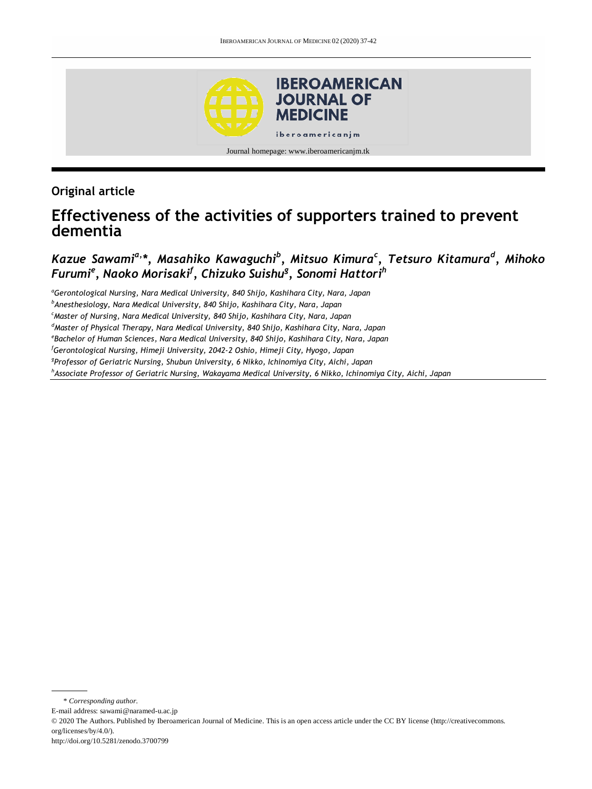

**Original article**

# **Effectiveness of the activities of supporters trained to prevent dementia**

## *Kazue Sawamia,\*, Masahiko Kawaguchi<sup>b</sup> , Mitsuo Kimura<sup>c</sup> , Tetsuro Kitamura<sup>d</sup> , Mihoko Furumi<sup>e</sup> , Naoko Morisaki<sup>f</sup> , Chizuko Suishu<sup>g</sup> , Sonomi Hattori<sup>h</sup>*

*<sup>a</sup>Gerontological Nursing, Nara Medical University, 840 Shijo, Kashihara City, Nara, Japan <sup>b</sup>Anesthesiology, Nara Medical University, 840 Shijo, Kashihara City, Nara, Japan <sup>c</sup>Master of Nursing, Nara Medical University, 840 Shijo, Kashihara City, Nara, Japan <sup>d</sup>Master of Physical Therapy, Nara Medical University, 840 Shijo, Kashihara City, Nara, Japan e Bachelor of Human Sciences, Nara Medical University, 840 Shijo, Kashihara City, Nara, Japan <sup>f</sup>Gerontological Nursing, Himeji University, 2042-2 Oshio, Himeji City, Hyogo, Japan g Professor of Geriatric Nursing, Shubun University, 6 Nikko, Ichinomiya City, Aichi, Japan <sup>h</sup>Associate Professor of Geriatric Nursing, Wakayama Medical University, 6 Nikko, Ichinomiya City, Aichi, Japan*

\* *Corresponding author.*

E-mail address: sawami@naramed-u.ac.jp

<sup>© 2020</sup> The Authors. Published by Iberoamerican Journal of Medicine. This is an open access article under the CC BY license (http://creativecommons. org/licenses/by/4.0/).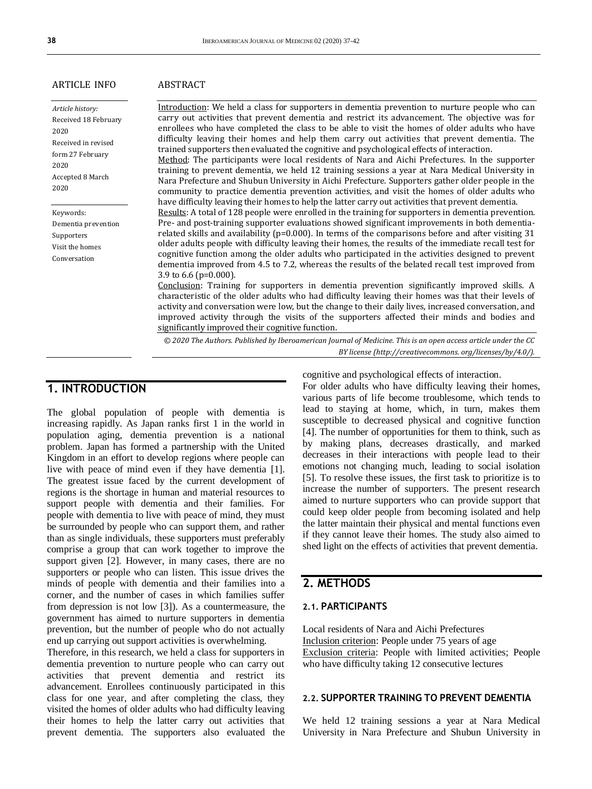significantly improved their cognitive function.

#### ARTICLE INFO

*Article history:* Received 18 February 2020 Received in revised form 27 February 2020 Accepted 8 March 2020

Keywords: Dementia prevention Supporters Visit the homes Conversation

### ABSTRACT

Introduction: We held a class for supporters in dementia prevention to nurture people who can carry out activities that prevent dementia and restrict its advancement. The objective was for enrollees who have completed the class to be able to visit the homes of older adults who have difficulty leaving their homes and help them carry out activities that prevent dementia. The trained supporters then evaluated the cognitive and psychological effects of interaction. Method: The participants were local residents of Nara and Aichi Prefectures. In the supporter training to prevent dementia, we held 12 training sessions a year at Nara Medical University in Nara Prefecture and Shubun University in Aichi Prefecture. Supporters gather older people in the community to practice dementia prevention activities, and visit the homes of older adults who have difficulty leaving their homes to help the latter carry out activities that prevent dementia. Results: A total of 128 people were enrolled in the training for supporters in dementia prevention. Pre- and post-training supporter evaluations showed significant improvements in both dementiarelated skills and availability ( $p=0.000$ ). In terms of the comparisons before and after visiting 31 older adults people with difficulty leaving their homes, the results of the immediate recall test for cognitive function among the older adults who participated in the activities designed to prevent dementia improved from 4.5 to 7.2, whereas the results of the belated recall test improved from 3.9 to 6.6 (p=0.000). Conclusion: Training for supporters in dementia prevention significantly improved skills. A characteristic of the older adults who had difficulty leaving their homes was that their levels of activity and conversation were low, but the change to their daily lives, increased conversation, and improved activity through the visits of the supporters affected their minds and bodies and

*© 2020 The Authors. Published by Iberoamerican Journal of Medicine. This is an open access article under the CC BY license (http:/[/creativecommons. org/licenses/by/4.0/\)](https://creativecommons.org/licenses/by/4.0/).*

### **1. INTRODUCTION**

The global population of people with dementia is increasing rapidly. As Japan ranks first 1 in the world in population aging, dementia prevention is a national problem. Japan has formed a partnership with the United Kingdom in an effort to develop regions where people can live with peace of mind even if they have dementia [1]. The greatest issue faced by the current development of regions is the shortage in human and material resources to support people with dementia and their families. For people with dementia to live with peace of mind, they must be surrounded by people who can support them, and rather than as single individuals, these supporters must preferably comprise a group that can work together to improve the support given [2]. However, in many cases, there are no supporters or people who can listen. This issue drives the minds of people with dementia and their families into a corner, and the number of cases in which families suffer from depression is not low [3]). As a countermeasure, the government has aimed to nurture supporters in dementia prevention, but the number of people who do not actually end up carrying out support activities is overwhelming.

Therefore, in this research, we held a class for supporters in dementia prevention to nurture people who can carry out activities that prevent dementia and restrict its advancement. Enrollees continuously participated in this class for one year, and after completing the class, they visited the homes of older adults who had difficulty leaving their homes to help the latter carry out activities that prevent dementia. The supporters also evaluated the

cognitive and psychological effects of interaction.

For older adults who have difficulty leaving their homes, various parts of life become troublesome, which tends to lead to staying at home, which, in turn, makes them susceptible to decreased physical and cognitive function [4]. The number of opportunities for them to think, such as by making plans, decreases drastically, and marked decreases in their interactions with people lead to their emotions not changing much, leading to social isolation [5]. To resolve these issues, the first task to prioritize is to increase the number of supporters. The present research aimed to nurture supporters who can provide support that could keep older people from becoming isolated and help the latter maintain their physical and mental functions even if they cannot leave their homes. The study also aimed to shed light on the effects of activities that prevent dementia.

## **2. METHODS**

### **2.1. PARTICIPANTS**

Local residents of Nara and Aichi Prefectures Inclusion criterion: People under 75 years of age Exclusion criteria: People with limited activities; People who have difficulty taking 12 consecutive lectures

#### **2.2. SUPPORTER TRAINING TO PREVENT DEMENTIA**

We held 12 training sessions a year at Nara Medical University in Nara Prefecture and Shubun University in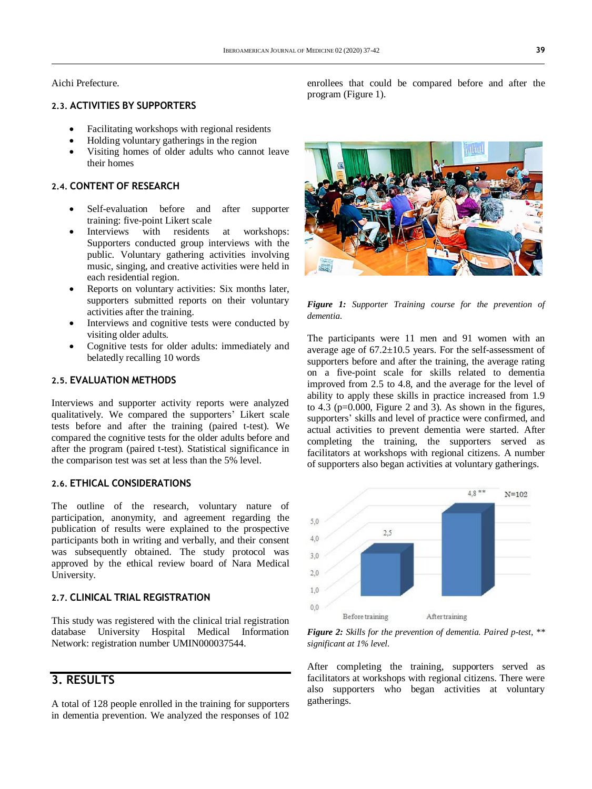Aichi Prefecture.

### **2.3. ACTIVITIES BY SUPPORTERS**

- Facilitating workshops with regional residents
- Holding voluntary gatherings in the region
- Visiting homes of older adults who cannot leave their homes

### **2.4. CONTENT OF RESEARCH**

- Self-evaluation before and after supporter training: five-point Likert scale
- Interviews with residents at workshops: Supporters conducted group interviews with the public. Voluntary gathering activities involving music, singing, and creative activities were held in each residential region.
- Reports on voluntary activities: Six months later, supporters submitted reports on their voluntary activities after the training.
- Interviews and cognitive tests were conducted by visiting older adults.
- Cognitive tests for older adults: immediately and belatedly recalling 10 words

### **2.5. EVALUATION METHODS**

Interviews and supporter activity reports were analyzed qualitatively. We compared the supporters' Likert scale tests before and after the training (paired t-test). We compared the cognitive tests for the older adults before and after the program (paired t-test). Statistical significance in the comparison test was set at less than the 5% level.

### **2.6. ETHICAL CONSIDERATIONS**

The outline of the research, voluntary nature of participation, anonymity, and agreement regarding the publication of results were explained to the prospective participants both in writing and verbally, and their consent was subsequently obtained. The study protocol was approved by the ethical review board of Nara Medical University.

### **2.7. CLINICAL TRIAL REGISTRATION**

This study was registered with the clinical trial registration database University Hospital Medical Information Network: registration number UMIN000037544.

## **3. RESULTS**

A total of 128 people enrolled in the training for supporters in dementia prevention. We analyzed the responses of 102

enrollees that could be compared before and after the program (Figure 1).



*Figure 1: Supporter Training course for the prevention of dementia.*

The participants were 11 men and 91 women with an average age of  $67.2 \pm 10.5$  years. For the self-assessment of supporters before and after the training, the average rating on a five-point scale for skills related to dementia improved from 2.5 to 4.8, and the average for the level of ability to apply these skills in practice increased from 1.9 to  $4.3$  ( $p=0.000$ , Figure 2 and 3). As shown in the figures, supporters' skills and level of practice were confirmed, and actual activities to prevent dementia were started. After completing the training, the supporters served as facilitators at workshops with regional citizens. A number of supporters also began activities at voluntary gatherings.



*Figure 2: Skills for the prevention of dementia. Paired p-test, \*\* significant at 1% level.*

After completing the training, supporters served as facilitators at workshops with regional citizens. There were also supporters who began activities at voluntary gatherings.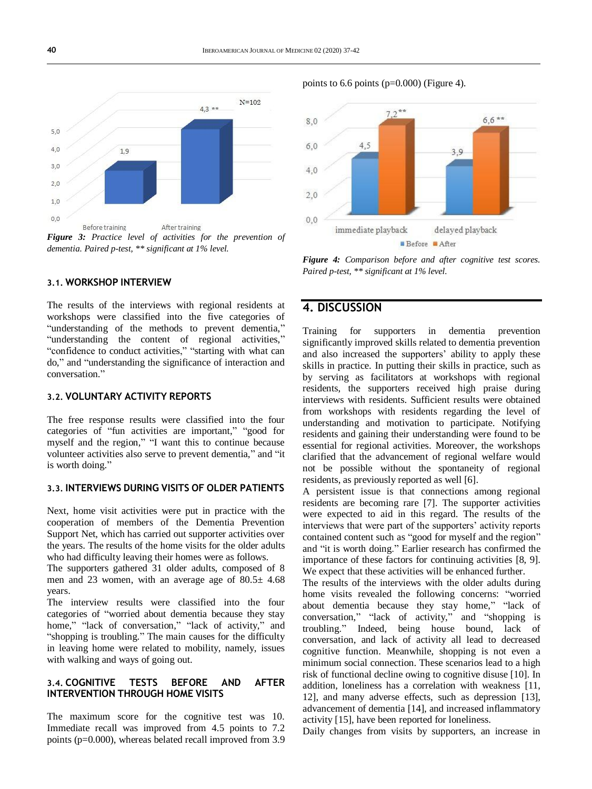

*Figure 3: Practice level of activities for the prevention of dementia. Paired p-test, \*\* significant at 1% level.*

### **3.1. WORKSHOP INTERVIEW**

The results of the interviews with regional residents at workshops were classified into the five categories of "understanding of the methods to prevent dementia," "understanding the content of regional activities," "confidence to conduct activities," "starting with what can do," and "understanding the significance of interaction and conversation."

### **3.2. VOLUNTARY ACTIVITY REPORTS**

The free response results were classified into the four categories of "fun activities are important," "good for myself and the region," "I want this to continue because volunteer activities also serve to prevent dementia," and "it is worth doing."

### **3.3. INTERVIEWS DURING VISITS OF OLDER PATIENTS**

Next, home visit activities were put in practice with the cooperation of members of the Dementia Prevention Support Net, which has carried out supporter activities over the years. The results of the home visits for the older adults who had difficulty leaving their homes were as follows.

The supporters gathered 31 older adults, composed of 8 men and 23 women, with an average age of 80.5± 4.68 years.

The interview results were classified into the four categories of "worried about dementia because they stay home," "lack of conversation," "lack of activity," and "shopping is troubling." The main causes for the difficulty in leaving home were related to mobility, namely, issues with walking and ways of going out.

### **3.4. COGNITIVE TESTS BEFORE AND AFTER INTERVENTION THROUGH HOME VISITS**

The maximum score for the cognitive test was 10. Immediate recall was improved from 4.5 points to 7.2 points (p=0.000), whereas belated recall improved from 3.9

points to 6.6 points (p=0.000) (Figure 4).



*Figure 4: Comparison before and after cognitive test scores. Paired p-test, \*\* significant at 1% level.*

### **4. DISCUSSION**

Training for supporters in dementia prevention significantly improved skills related to dementia prevention and also increased the supporters' ability to apply these skills in practice. In putting their skills in practice, such as by serving as facilitators at workshops with regional residents, the supporters received high praise during interviews with residents. Sufficient results were obtained from workshops with residents regarding the level of understanding and motivation to participate. Notifying residents and gaining their understanding were found to be essential for regional activities. Moreover, the workshops clarified that the advancement of regional welfare would not be possible without the spontaneity of regional residents, as previously reported as well [6].

A persistent issue is that connections among regional residents are becoming rare [7]. The supporter activities were expected to aid in this regard. The results of the interviews that were part of the supporters' activity reports contained content such as "good for myself and the region" and "it is worth doing." Earlier research has confirmed the importance of these factors for continuing activities [8, 9]. We expect that these activities will be enhanced further.

The results of the interviews with the older adults during home visits revealed the following concerns: "worried about dementia because they stay home," "lack of conversation," "lack of activity," and "shopping is troubling." Indeed, being house bound, lack of conversation, and lack of activity all lead to decreased cognitive function. Meanwhile, shopping is not even a minimum social connection. These scenarios lead to a high risk of functional decline owing to cognitive disuse [10]. In addition, loneliness has a correlation with weakness [11, 12], and many adverse effects, such as depression [13], advancement of dementia [14], and increased inflammatory activity [15], have been reported for loneliness.

Daily changes from visits by supporters, an increase in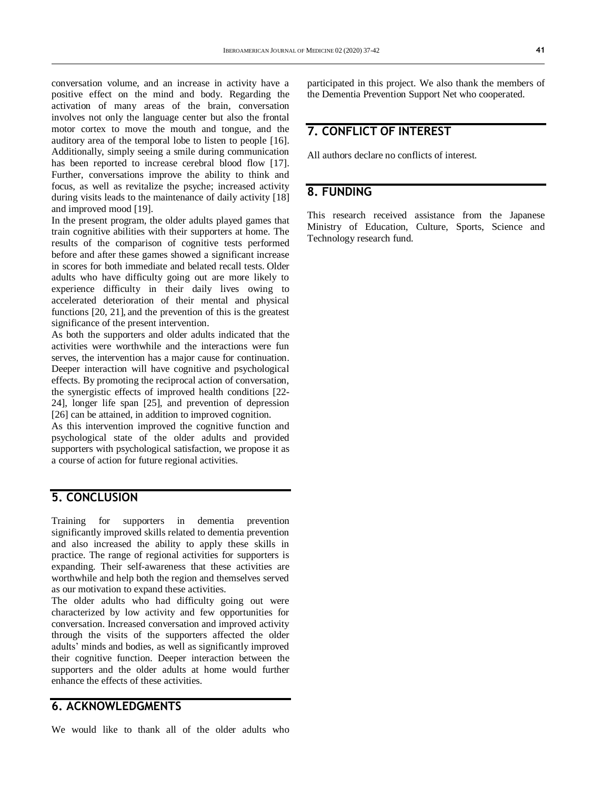conversation volume, and an increase in activity have a positive effect on the mind and body. Regarding the activation of many areas of the brain, conversation involves not only the language center but also the frontal motor cortex to move the mouth and tongue, and the auditory area of the temporal lobe to listen to people [16]. Additionally, simply seeing a smile during communication has been reported to increase cerebral blood flow [17]. Further, conversations improve the ability to think and focus, as well as revitalize the psyche; increased activity during visits leads to the maintenance of daily activity [18] and improved mood [19].

In the present program, the older adults played games that train cognitive abilities with their supporters at home. The results of the comparison of cognitive tests performed before and after these games showed a significant increase in scores for both immediate and belated recall tests. Older adults who have difficulty going out are more likely to experience difficulty in their daily lives owing to accelerated deterioration of their mental and physical functions [20, 21], and the prevention of this is the greatest significance of the present intervention.

As both the supporters and older adults indicated that the activities were worthwhile and the interactions were fun serves, the intervention has a major cause for continuation. Deeper interaction will have cognitive and psychological effects. By promoting the reciprocal action of conversation, the synergistic effects of improved health conditions [22- 24], longer life span [25], and prevention of depression [26] can be attained, in addition to improved cognition.

As this intervention improved the cognitive function and psychological state of the older adults and provided supporters with psychological satisfaction, we propose it as a course of action for future regional activities.

## **5. CONCLUSION**

Training for supporters in dementia prevention significantly improved skills related to dementia prevention and also increased the ability to apply these skills in practice. The range of regional activities for supporters is expanding. Their self-awareness that these activities are worthwhile and help both the region and themselves served as our motivation to expand these activities.

The older adults who had difficulty going out were characterized by low activity and few opportunities for conversation. Increased conversation and improved activity through the visits of the supporters affected the older adults' minds and bodies, as well as significantly improved their cognitive function. Deeper interaction between the supporters and the older adults at home would further enhance the effects of these activities.

## **6. ACKNOWLEDGMENTS**

We would like to thank all of the older adults who

participated in this project. We also thank the members of the Dementia Prevention Support Net who cooperated.

## **7. CONFLICT OF INTEREST**

All authors declare no conflicts of interest.

## **8. FUNDING**

This research received assistance from the Japanese Ministry of Education, Culture, Sports, Science and Technology research fund.